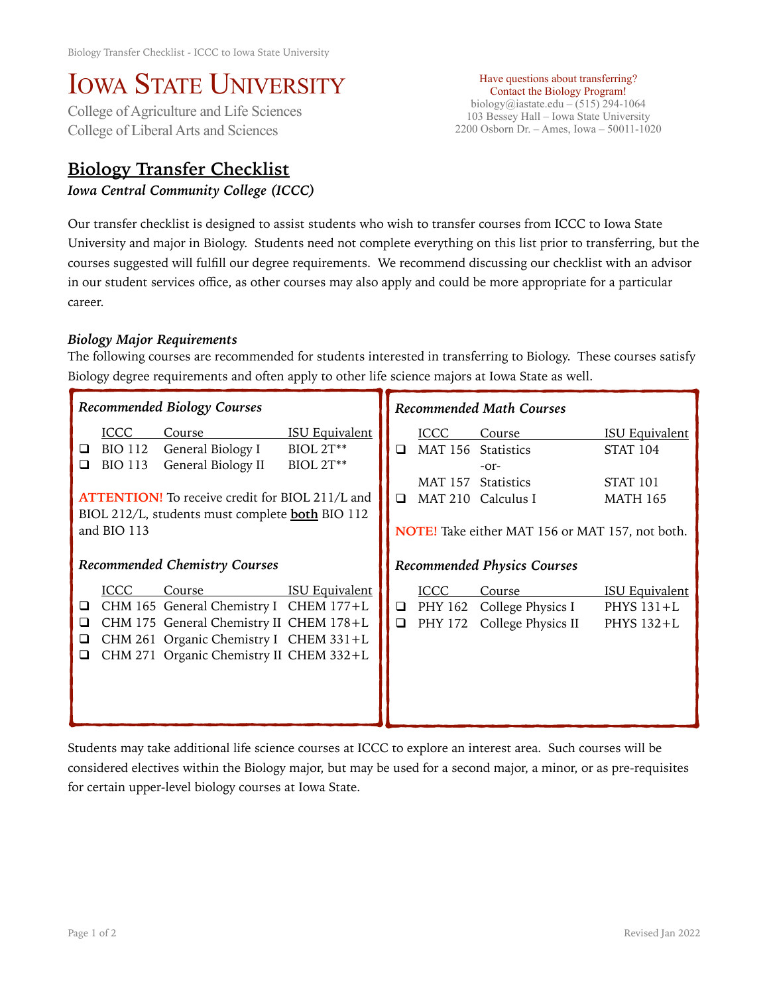## IOWA STATE UNIVERSITY<br>College of Agriculture and Life Sciences

College of Liberal Arts and Sciences

## **Biology Transfer Checklist**

*Iowa Central Community College (ICCC)* 

Have questions about transferring? Contact the Biology Program! biology@iastate.edu – (515) 294-1064 103 Bessey Hall – Iowa State University 2200 Osborn Dr. – Ames, Iowa – 50011-1020

Our transfer checklist is designed to assist students who wish to transfer courses from ICCC to Iowa State University and major in Biology. Students need not complete everything on this list prior to transferring, but the courses suggested will fulfill our degree requirements. We recommend discussing our checklist with an advisor in our student services office, as other courses may also apply and could be more appropriate for a particular career.

## *Biology Major Requirements*

The following courses are recommended for students interested in transferring to Biology. These courses satisfy Biology degree requirements and often apply to other life science majors at Iowa State as well.

| Recommended Biology Courses          |                                                         |                                                                                                                                                                                  | <b>Recommended Math Courses</b>                        |                  |                                   |                                                                                                                                              |                                                                                    |
|--------------------------------------|---------------------------------------------------------|----------------------------------------------------------------------------------------------------------------------------------------------------------------------------------|--------------------------------------------------------|------------------|-----------------------------------|----------------------------------------------------------------------------------------------------------------------------------------------|------------------------------------------------------------------------------------|
| Q<br>⊔                               | ICCC<br><b>BIO 112</b><br><b>BIO 113</b><br>and BIO 113 | Course<br>General Biology I<br>General Biology II<br><b>ATTENTION!</b> To receive credit for BIOL 211/L and<br>BIOL 212/L, students must complete <b>both</b> BIO 112            | <b>ISU Equivalent</b><br>BIOL 2T**<br><b>BIOL 2T**</b> | $\Box$<br>$\Box$ | <b>ICCC</b>                       | Course<br>MAT 156 Statistics<br>$-0r-$<br>MAT 157 Statistics<br>MAT 210 Calculus I<br><b>NOTE!</b> Take either MAT 156 or MAT 157, not both. | <b>ISU Equivalent</b><br><b>STAT 104</b><br>STAT <sub>101</sub><br><b>MATH 165</b> |
| <b>Recommended Chemistry Courses</b> |                                                         |                                                                                                                                                                                  | <b>Recommended Physics Courses</b>                     |                  |                                   |                                                                                                                                              |                                                                                    |
| ❏<br>❏<br>❏<br>⊔                     | ICCC                                                    | Course<br>CHM 165 General Chemistry I CHEM 177+L<br>CHM 175 General Chemistry II CHEM 178+L<br>CHM 261 Organic Chemistry I CHEM 331+L<br>CHM 271 Organic Chemistry II CHEM 332+L | <b>ISU Equivalent</b>                                  | $\Box$<br>$\Box$ | <b>ICCC</b><br>PHY 162<br>PHY 172 | Course<br>College Physics I<br>College Physics II                                                                                            | <b>ISU Equivalent</b><br>PHYS $131+L$<br>PHYS 132+L                                |

Students may take additional life science courses at ICCC to explore an interest area. Such courses will be considered electives within the Biology major, but may be used for a second major, a minor, or as pre-requisites for certain upper-level biology courses at Iowa State.